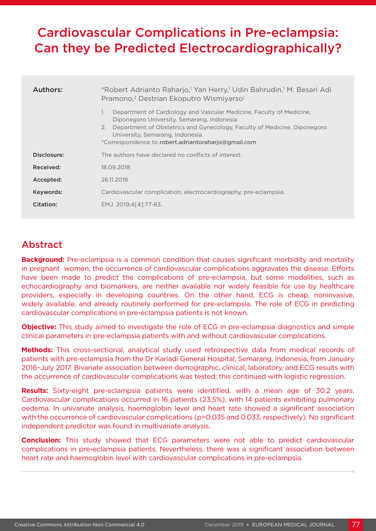# Cardiovascular Complications in Pre-eclampsia: Can they be Predicted Electrocardiographically?

| Authors:    | *Robert Adrianto Raharjo, <sup>1</sup> Yan Herry, <sup>1</sup> Udin Bahrudin, <sup>1</sup> M. Besari Adi<br>Pramono, <sup>2</sup> Destrian Ekoputro Wismiyarso <sup>1</sup>                                                                                                                          |  |  |  |
|-------------|------------------------------------------------------------------------------------------------------------------------------------------------------------------------------------------------------------------------------------------------------------------------------------------------------|--|--|--|
|             | Department of Cardiology and Vascular Medicine, Faculty of Medicine,<br>1.<br>Diponegoro University, Semarang, Indonesia<br>Department of Obstetrics and Gynecology, Faculty of Medicine, Diponegoro<br>2.<br>University, Semarang, Indonesia<br>*Correspondence to robert.adriantoraharjo@gmail.com |  |  |  |
| Disclosure: | The authors have declared no conflicts of interest.                                                                                                                                                                                                                                                  |  |  |  |
| Received:   | 18.09.2018                                                                                                                                                                                                                                                                                           |  |  |  |
| Accepted:   | 26.11.2018                                                                                                                                                                                                                                                                                           |  |  |  |
| Keywords:   | Cardiovascular complication, electrocardiography, pre-eclampsia.                                                                                                                                                                                                                                     |  |  |  |
| Citation:   | EMJ. 2019;4[4]:77-83.                                                                                                                                                                                                                                                                                |  |  |  |

## Abstract

**Background:** Pre-eclampsia is a common condition that causes significant morbidity and mortality in pregnant women; the occurrence of cardiovascular complications aggravates the disease. Efforts have been made to predict the complications of pre-eclampsia, but some modalities, such as echocardiography and biomarkers, are neither available nor widely feasible for use by healthcare providers, especially in developing countries. On the other hand, ECG is cheap, noninvasive, widely available, and already routinely performed for pre-eclampsia. The role of ECG in predicting cardiovascular complications in pre-eclampsia patients is not known.

**Objective:** This study aimed to investigate the role of ECG in pre-eclampsia diagnostics and simple clinical parameters in pre-eclampsia patients with and without cardiovascular complications.

**Methods:** This cross-sectional, analytical study used retrospective data from medical records of patients with pre-eclampsia from the Dr Kariadi General Hospital, Semarang, Indonesia, from January 2016–July 2017. Bivariate association between demographic, clinical, laboratory, and ECG results with the occurrence of cardiovascular complications was tested; this continued with logistic regression.

**Results:** Sixty-eight pre-eclampsia patients were identified, with a mean age of 30.2 years. Cardiovascular complications occurred in 16 patients (23.5%), with 14 patients exhibiting pulmonary oedema. In univariate analysis, haemoglobin level and heart rate showed a significant association with the occurrence of cardiovascular complications (p=0.035 and 0.033, respectively). No significant independent predictor was found in multivariate analysis.

**Conclusion:** This study showed that ECG parameters were not able to predict cardiovascular complications in pre-eclampsia patients. Nevertheless, there was a significant association between heart rate and haemoglobin level with cardiovascular complications in pre-eclampsia.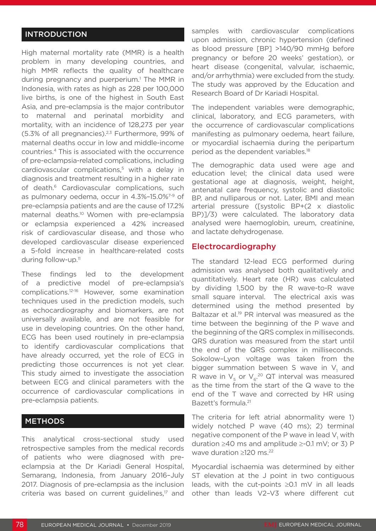## INTRODUCTION

High maternal mortality rate (MMR) is a health problem in many developing countries, and high MMR reflects the quality of healthcare during pregnancy and puerperium.<sup>1</sup> The MMR in Indonesia, with rates as high as 228 per 100,000 live births, is one of the highest in South East Asia, and pre-eclampsia is the major contributor to maternal and perinatal morbidity and mortality, with an incidence of 128,273 per year (5.3% of all pregnancies). $2,3$  Furthermore, 99% of maternal deaths occur in low and middle-income countries.4 This is associated with the occurrence of pre-eclampsia-related complications, including cardiovascular complications,<sup>5</sup> with a delay in diagnosis and treatment resulting in a higher rate of death.<sup>6</sup> Cardiovascular complications, such as pulmonary oedema, occur in 4.3%–15.0%7-9 of pre-eclampsia patients and are the cause of 17.2% maternal deaths.10 Women with pre-eclampsia or eclampsia experienced a 42% increased risk of cardiovascular disease, and those who developed cardiovascular disease experienced a 5-fold increase in healthcare-related costs during follow-up.11

These findings led to the development of a predictive model of pre-eclampsia's complications.12-16 However, some examination techniques used in the prediction models, such as echocardiography and biomarkers, are not universally available, and are not feasible for use in developing countries. On the other hand, ECG has been used routinely in pre-eclampsia to identify cardiovascular complications that have already occurred, yet the role of ECG in predicting those occurrences is not yet clear. This study aimed to investigate the association between ECG and clinical parameters with the occurrence of cardiovascular complications in pre-eclampsia patients.

#### **METHODS**

This analytical cross-sectional study used retrospective samples from the medical records of patients who were diagnosed with preeclampsia at the Dr Kariadi General Hospital, Semarang, Indonesia, from January 2016–July 2017. Diagnosis of pre-eclampsia as the inclusion criteria was based on current guidelines, $17$  and

samples with cardiovascular complications upon admission, chronic hypertension (defined as blood pressure [BP] >140/90 mmHg before pregnancy or before 20 weeks' gestation), or heart disease (congenital, valvular, ischaemic, and/or arrhythmia) were excluded from the study. The study was approved by the Education and Research Board of Dr Kariadi Hospital.

The independent variables were demographic, clinical, laboratory, and ECG parameters, with the occurrence of cardiovascular complications manifesting as pulmonary oedema, heart failure, or myocardial ischaemia during the peripartum period as the dependent variables.18

The demographic data used were age and education level; the clinical data used were gestational age at diagnosis, weight, height, antenatal care frequency, systolic and diastolic BP, and nulliparous or not. Later, BMI and mean arterial pressure ([systolic BP+(2 x diastolic BP)]/3) were calculated. The laboratory data analysed were haemoglobin, ureum, creatinine, and lactate dehydrogenase.

#### Electrocardiography

The standard 12-lead ECG performed during admission was analysed both qualitatively and quantitatively. Heart rate (HR) was calculated by dividing 1,500 by the R wave-to-R wave small square interval. The electrical axis was determined using the method presented by Baltazar et al.<sup>19</sup> PR interval was measured as the time between the beginning of the P wave and the beginning of the QRS complex in milliseconds. QRS duration was measured from the start until the end of the QRS complex in milliseconds. Sokolow–Lyon voltage was taken from the bigger summation between S wave in  $V_1$  and R wave in  $V_5$  or  $V_6$ <sup>20</sup> QT interval was measured as the time from the start of the Q wave to the end of the T wave and corrected by HR using Bazett's formula.21

The criteria for left atrial abnormality were 1) widely notched P wave (40 ms); 2) terminal negative component of the P wave in lead  $\mathsf{V}_{\scriptscriptstyle{1}}$  with duration ≥40 ms and amplitude ≥-0.1 mV; or 3) P wave duration ≥120 ms.<sup>22</sup>

Myocardial ischaemia was determined by either ST elevation at the J point in two contiguous leads, with the cut-points ≥0.1 mV in all leads other than leads V2–V3 where different cut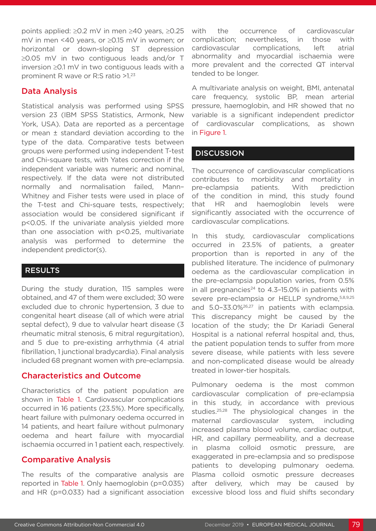points applied: ≥0.2 mV in men ≥40 years, ≥0.25 mV in men <40 years, or ≥0.15 mV in women; or horizontal or down-sloping ST depression ≥0.05 mV in two contiguous leads and/or T inversion ≥0.1 mV in two contiguous leads with a prominent R wave or R:S ratio >1.23

### Data Analysis

Statistical analysis was performed using SPSS version 23 (IBM SPSS Statistics, Armonk, New York, USA). Data are reported as a percentage or mean ± standard deviation according to the type of the data. Comparative tests between groups were performed using independent T-test and Chi-square tests, with Yates correction if the independent variable was numeric and nominal, respectively. If the data were not distributed normally and normalisation failed, Mann– Whitney and Fisher tests were used in place of the T-test and Chi-square tests, respectively; association would be considered significant if p<0.05. If the univariate analysis yielded more than one association with p<0.25, multivariate analysis was performed to determine the independent predictor(s).

#### RESULTS

During the study duration, 115 samples were obtained, and 47 of them were excluded; 30 were excluded due to chronic hypertension, 3 due to congenital heart disease (all of which were atrial septal defect), 9 due to valvular heart disease (3 rheumatic mitral stenosis, 6 mitral regurgitation), and 5 due to pre-existing arrhythmia (4 atrial fibrillation, 1 junctional bradycardia). Final analysis included 68 pregnant women with pre-eclampsia.

## Characteristics and Outcome

Characteristics of the patient population are shown in Table 1. Cardiovascular complications occurred in 16 patients (23.5%). More specifically, heart failure with pulmonary oedema occurred in 14 patients, and heart failure without pulmonary oedema and heart failure with myocardial ischaemia occurred in 1 patient each, respectively.

## Comparative Analysis

The results of the comparative analysis are reported in Table 1. Only haemoglobin (p=0.035) and HR (p=0.033) had a significant association with the occurrence of cardiovascular complication; nevertheless, in those with cardiovascular complications, left atrial abnormality and myocardial ischaemia were more prevalent and the corrected QT interval tended to be longer.

A multivariate analysis on weight, BMI, antenatal care frequency, systolic BP, mean arterial pressure, haemoglobin, and HR showed that no variable is a significant independent predictor of cardiovascular complications, as shown in Figure 1.

### **DISCUSSION**

The occurrence of cardiovascular complications contributes to morbidity and mortality in pre-eclampsia patients. With prediction of the condition in mind, this study found that HR and haemoglobin levels were significantly associated with the occurrence of cardiovascular complications.

In this study, cardiovascular complications occurred in 23.5% of patients, a greater proportion than is reported in any of the published literature. The incidence of pulmonary oedema as the cardiovascular complication in the pre-eclampsia population varies, from 0.5% in all pregnancies $^{24}$  to 4.3-15.0% in patients with severe pre-eclampsia or HELLP syndrome, 5,8,9,25 and 5.0–33.0%26,27 in patients with eclampsia. This discrepancy might be caused by the location of the study; the Dr Kariadi General Hospital is a national referral hospital and, thus, the patient population tends to suffer from more severe disease, while patients with less severe and non-complicated disease would be already treated in lower-tier hospitals.

Pulmonary oedema is the most common cardiovascular complication of pre-eclampsia in this study, in accordance with previous studies.<sup>25,28</sup> The physiological changes in the maternal cardiovascular system, including increased plasma blood volume, cardiac output, HR, and capillary permeability, and a decrease in plasma colloid osmotic pressure, are exaggerated in pre-eclampsia and so predispose patients to developing pulmonary oedema. Plasma colloid osmotic pressure decreases after delivery, which may be caused by excessive blood loss and fluid shifts secondary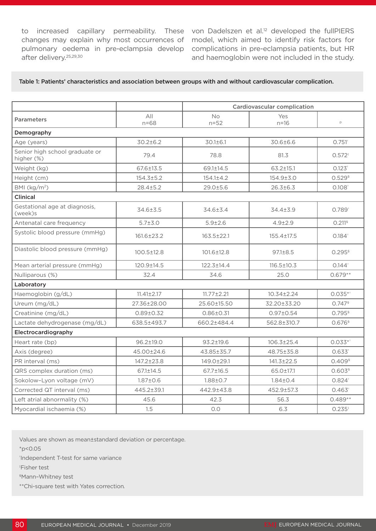to increased capillary permeability. These von Dadelszen et al.<sup>12</sup> developed the fullPIERS changes may explain why most occurrences of model, which aimed to identify risk factors for pulmonary oedema in pre-eclampsia develop complications in pre-eclampsia patients, but HR after delivery.25,29,30

and haemoglobin were not included in the study.

#### Table 1: Patients' characteristics and association between groups with and without cardiovascular complication.

|                                              |                  | <b>Cardiovascular complication</b> |                  |                       |  |  |
|----------------------------------------------|------------------|------------------------------------|------------------|-----------------------|--|--|
| <b>Parameters</b>                            | All<br>$n = 68$  | <b>No</b><br>$n = 52$              | Yes<br>$n = 16$  | p                     |  |  |
| Demography                                   |                  |                                    |                  |                       |  |  |
| Age (years)                                  | $30.2 \pm 6.2$   | $30.1 \pm 6.1$                     | 30.6±6.6         | $0.751$ <sup>*</sup>  |  |  |
| Senior high school graduate or<br>higher (%) | 79.4             | 78.8                               | 81.3             | $0.572$ <sup>#</sup>  |  |  |
| Weight (kg)                                  | 67.6±13.5        | 69.1±14.5                          | $63.2 \pm 15.1$  | $0.123^{+}$           |  |  |
| Height (cm)                                  | 154.3±5.2        | $154.1 \pm 4.2$                    | 154.9±3.0        | $0.529$ <sup>§</sup>  |  |  |
| BMI $(kg/m2)$                                | $28.4 \pm 5.2$   | 29.0±5.6                           | $26.3 \pm 6.3$   | $0.108+$              |  |  |
| <b>Clinical</b>                              |                  |                                    |                  |                       |  |  |
| Gestational age at diagnosis,<br>(week)s     | 34.6±3.5         | 34.6±3.4                           | 34.4±3.9         | $0.789$ <sup>*</sup>  |  |  |
| Antenatal care frequency                     | $5.7 + 3.0$      | $5.9 + 2.6$                        | $4.9 + 2.9$      | $0.211$ <sup>\$</sup> |  |  |
| Systolic blood pressure (mmHg)               | 161.6±23.2       | $163.5 \pm 22.1$                   | 155.4±17.5       | $0.184^{+}$           |  |  |
| Diastolic blood pressure (mmHg)              | $100.5 \pm 12.8$ | $101.6 \pm 12.8$                   | $97.1 \pm 8.5$   | $0.295$ <sup>\$</sup> |  |  |
| Mean arterial pressure (mmHg)                | 120.9±14.5       | $122.3 \pm 14.4$                   | $116.5 \pm 10.3$ | $0.144$ <sup>+</sup>  |  |  |
| Nulliparous (%)                              | 32.4             | 34.6                               | 25.0             | $0.679**$             |  |  |
| Laboratory                                   |                  |                                    |                  |                       |  |  |
| Haemoglobin (g/dL)                           | $11.41 \pm 2.17$ | $11.77 \pm 2.21$                   | $10.34 \pm 2.24$ | $0.035**$             |  |  |
| Ureum (mg/dL)                                | 27.36±28.00      | 25.60±15.50                        | 32.20±33.20      | $0.747$ <sup>\$</sup> |  |  |
| Creatinine (mg/dL)                           | $0.89 \pm 0.32$  | $0.86 \pm 0.31$                    | $0.97 \pm 0.54$  | $0.795$ <sup>\$</sup> |  |  |
| Lactate dehydrogenase (mg/dL)                | 638.5±493.7      | 660.2±484.4                        | 562.8±310.7      | $0.676$ <sup>\$</sup> |  |  |
| Electrocardiography                          |                  |                                    |                  |                       |  |  |
| Heart rate (bp)                              | $96.2 \pm 19.0$  | $93.2 \pm 19.6$                    | $106.3 \pm 25.4$ | $0.033**$             |  |  |
| Axis (degree)                                | 45.00±24.6       | 43.85±35.7                         | 48.75±35.8       | $0.633*$              |  |  |
| PR interval (ms)                             | 147.2±23.8       | 149.0±29.1                         | 141.3±22.5       | $0.409$ <sup>\$</sup> |  |  |
| QRS complex duration (ms)                    | 67.1±14.5        | 67.7±16.5                          | 65.0±17.1        | $0.603$ <sup>§</sup>  |  |  |
| Sokolow-Lyon voltage (mV)                    | $1.87 \pm 0.6$   | $1.88 \pm 0.7$                     | $1.84 \pm 0.4$   | $0.824$ <sup>*</sup>  |  |  |
| Corrected QT interval (ms)                   | 445.2±39.1       | 442.9±43.8                         | 452.9±57.3       | $0.463^{+}$           |  |  |
| Left atrial abnormality (%)                  | 45.6             | 42.3                               | 56.3             | $0.489**$             |  |  |
| Myocardial ischaemia (%)                     | 1.5              | O.O                                | 6.3              | $0.235^{1}$           |  |  |

Values are shown as mean±standard deviation or percentage.

 $*p < 0.05$ 

† Independent T-test for same variance

‡ Fisher test

§Mann–Whitney test

\*\*Chi-square test with Yates correction*.*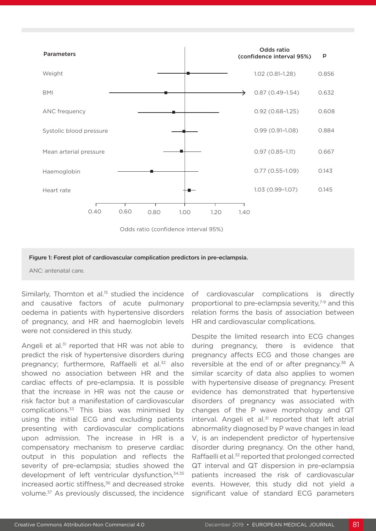



#### Figure 1: Forest plot of cardiovascular complication predictors in pre-eclampsia.

ANC: antenatal care.

Similarly, Thornton et al.<sup>15</sup> studied the incidence and causative factors of acute pulmonary oedema in patients with hypertensive disorders of pregnancy, and HR and haemoglobin levels were not considered in this study.

Angeli et al. $31$  reported that HR was not able to predict the risk of hypertensive disorders during pregnancy; furthermore, Raffaelli et al.<sup>32</sup> also showed no association between HR and the cardiac effects of pre-eclampsia. It is possible that the increase in HR was not the cause or risk factor but a manifestation of cardiovascular complications.<sup>33</sup> This bias was minimised by using the initial ECG and excluding patients presenting with cardiovascular complications upon admission. The increase in HR is a compensatory mechanism to preserve cardiac output in this population and reflects the severity of pre-eclampsia; studies showed the development of left ventricular dysfunction,<sup>34,35</sup> increased aortic stiffness,<sup>36</sup> and decreased stroke volume.37 As previously discussed, the incidence

of cardiovascular complications is directly proportional to pre-eclampsia severity,<sup>7-9</sup> and this relation forms the basis of association between HR and cardiovascular complications.

Despite the limited research into ECG changes during pregnancy, there is evidence that pregnancy affects ECG and those changes are reversible at the end of or after pregnancy.<sup>38</sup> A similar scarcity of data also applies to women with hypertensive disease of pregnancy. Present evidence has demonstrated that hypertensive disorders of pregnancy was associated with changes of the P wave morphology and QT interval. Angeli et al.<sup>31</sup> reported that left atrial abnormality diagnosed by P wave changes in lead  $V<sub>1</sub>$  is an independent predictor of hypertensive disorder during pregnancy. On the other hand, Raffaelli et al.<sup>32</sup> reported that prolonged corrected QT interval and QT dispersion in pre-eclampsia patients increased the risk of cardiovascular events. However, this study did not yield a significant value of standard ECG parameters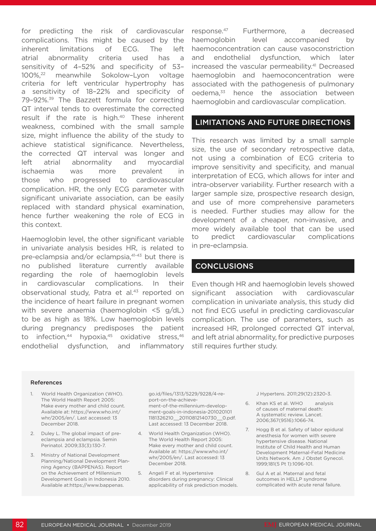for predicting the risk of cardiovascular complications. This might be caused by the inherent limitations of ECG. The left atrial abnormality criteria used has a sensitivity of 4–52% and specificity of 53– 100%,22 meanwhile Sokolow–Lyon voltage criteria for left ventricular hypertrophy has a sensitivity of 18–22% and specificity of 79-92%.<sup>39</sup> The Bazzett formula for correcting QT interval tends to overestimate the corrected result if the rate is high.40 These inherent weakness, combined with the small sample size, might influence the ability of the study to achieve statistical significance. Nevertheless, the corrected QT interval was longer and left atrial abnormality and myocardial ischaemia was more prevalent in those who progressed to cardiovascular complication. HR, the only ECG parameter with significant univariate association, can be easily replaced with standard physical examination, hence further weakening the role of ECG in this context.

Haemoglobin level, the other significant variable in univariate analysis besides HR, is related to pre-eclampsia and/or eclampsia,<sup>41-43</sup> but there is no published literature currently available regarding the role of haemoglobin levels in cardiovascular complications. In their observational study, Patra et al.<sup>43</sup> reported on the incidence of heart failure in pregnant women with severe anaemia (haemoglobin <5 g/dL) to be as high as 18%. Low haemoglobin levels during pregnancy predisposes the patient to infection,  $44$  hypoxia,  $45$  oxidative stress,  $46$ endothelial dysfunction, and inflammatory response.47 Furthermore, a decreased haemoglobin level accompanied by haemoconcentration can cause vasoconstriction and endothelial dysfunction, which later increased the vascular permeability.<sup>41</sup> Decreased haemoglobin and haemoconcentration were associated with the pathogenesis of pulmonary oedema,<sup>33</sup> hence the association between haemoglobin and cardiovascular complication.

#### LIMITATIONS AND FUTURE DIRECTIONS

This research was limited by a small sample size, the use of secondary retrospective data, not using a combination of ECG criteria to improve sensitivity and specificity, and manual interpretation of ECG, which allows for inter and intra-observer variability. Further research with a larger sample size, prospective research design, and use of more comprehensive parameters is needed. Further studies may allow for the development of a cheaper, non-invasive, and more widely available tool that can be used to predict cardiovascular complications in pre-eclampsia.

#### **CONCLUSIONS**

Even though HR and haemoglobin levels showed significant association with cardiovascular complication in univariate analysis, this study did not find ECG useful in predicting cardiovascular complication. The use of parameters, such as increased HR, prolonged corrected QT interval, and left atrial abnormality, for predictive purposes still requires further study.

#### References

- 1. World Health Organization (WHO). The World Health Report 2005: Make every mother and child count. Available at: https://www.who.int/ whr/2005/en/. Last accessed: 13 December 2018.
- 2. Duley L. The global impact of preeclampsia and eclampsia. Semin Perinatol. 2009;33(3):130-7.
- 3. Ministry of National Development Planning/National Development Planning Agency (BAPPENAS). Report on the Achievement of Millennium Development Goals in Indonesia 2010. Available at:https://www.bappenas.

go.id/files/1313/5229/9228/4-report-on-the-achievement-of-the-millennium-development-goals-in-indonesia-201020101 1181326210\_\_20110812140730\_\_0.pdf. Last accessed: 13 December 2018.

- 4. World Health Organization (WHO). The World Health Report 2005: Make every mother and child count. Available at: https://www.who.int/ whr/2005/en/. Last accessed: 13 December 2018.
- 5. Angeli F et al. Hypertensive disorders during pregnancy: Clinical applicability of risk prediction models.

J Hypertens. 2011;29(12):2320-3.

- 6. Khan KS et al. WHO analysis of causes of maternal death: A systematic review. Lancet. 2006;367(9516):1066-74.
- 7. Hogg B et al. Safety of labor epidural anesthesia for women with severe hypertensive disease. National Institute of Child Health and Human Development Maternal-Fetal Medicine Units Network. Am J Obstet Gynecol. 1999;181(5 Pt 1):1096-101.
- 8. Gul A et al. Maternal and fetal outcomes in HELLP syndrome complicated with acute renal failure.